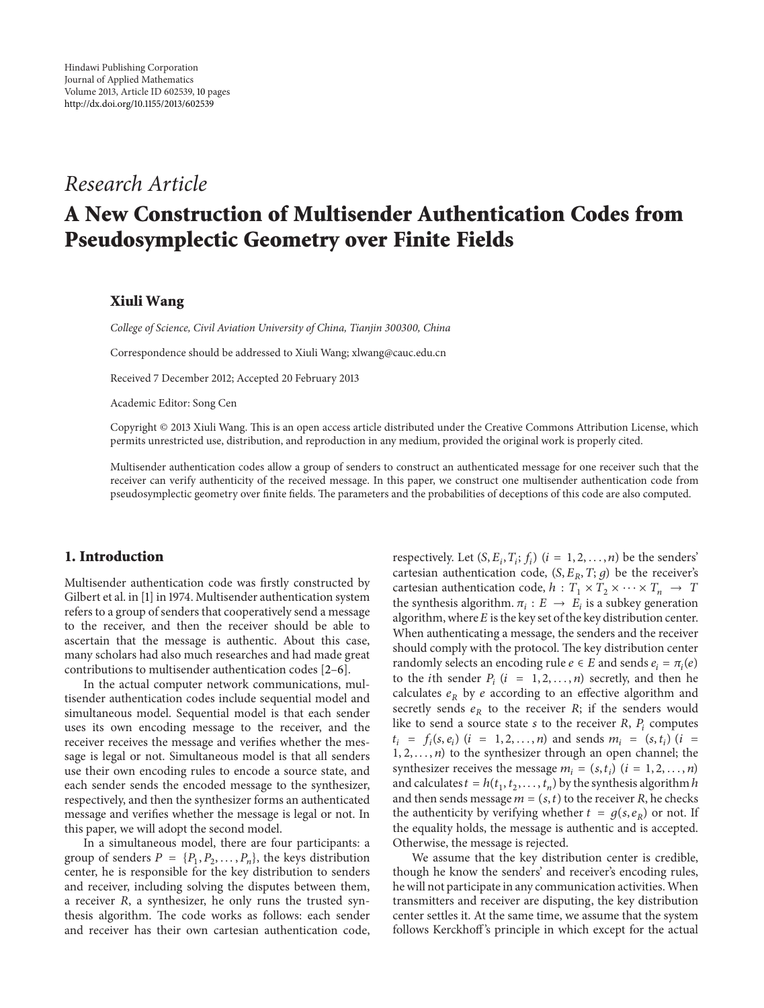# *Research Article*

# **A New Construction of Multisender Authentication Codes from Pseudosymplectic Geometry over Finite Fields**

# **Xiuli Wang**

*College of Science, Civil Aviation University of China, Tianjin 300300, China*

Correspondence should be addressed to Xiuli Wang; xlwang@cauc.edu.cn

Received 7 December 2012; Accepted 20 February 2013

Academic Editor: Song Cen

Copyright © 2013 Xiuli Wang. This is an open access article distributed under the Creative Commons Attribution License, which permits unrestricted use, distribution, and reproduction in any medium, provided the original work is properly cited.

Multisender authentication codes allow a group of senders to construct an authenticated message for one receiver such that the receiver can verify authenticity of the received message. In this paper, we construct one multisender authentication code from pseudosymplectic geometry over finite fields. The parameters and the probabilities of deceptions of this code are also computed.

# **1. Introduction**

Multisender authentication code was firstly constructed by Gilbert et al. in [1] in 1974. Multisender authentication system refers to a group of senders that cooperatively send a message to the receiver, and then the receiver should be able to ascertain that the message is authentic. About this case, many scholars had also much researches and had made great contributions to multisender authentication codes [2–6].

In the actual computer network communications, multisender authentication codes include sequential model and simultaneous model. Sequential model is that each sender uses its own encoding message to the receiver, and the receiver receives the message and verifies whether the message is legal or not. Simultaneous model is that all senders use their own encoding rules to encode a source state, and each sender sends the encoded message to the synthesizer, respectively, and then the synthesizer forms an authenticated message and verifies whether the message is legal or not. In this paper, we will adopt the second model.

In a simultaneous model, there are four participants: a group of senders  $P = \{P_1, P_2, \ldots, P_n\}$ , the keys distribution center, he is responsible for the key distribution to senders and receiver, including solving the disputes between them, a receiver  $R$ , a synthesizer, he only runs the trusted synthesis algorithm. The code works as follows: each sender and receiver has their own cartesian authentication code, respectively. Let  $(S, E_i, T_i; f_i)$   $(i = 1, 2, ..., n)$  be the senders' cartesian authentication code,  $(S, E_R, T; g)$  be the receiver's cartesian authentication code,  $h: T_1 \times T_2 \times \cdots \times T_n \rightarrow T$ the synthesis algorithm.  $\pi_i : E \to E_i$  is a subkey generation algorithm, where  $E$  is the key set of the key distribution center. When authenticating a message, the senders and the receiver should comply with the protocol. The key distribution center randomly selects an encoding rule  $e \in E$  and sends  $e_i = \pi_i(e)$ to the *i*th sender  $P_i$  ( $i = 1, 2, ..., n$ ) secretly, and then he calculates  $e_R$  by e according to an effective algorithm and secretly sends  $e_R$  to the receiver  $R$ ; if the senders would like to send a source state  $s$  to the receiver  $R$ ,  $P_i$  computes  $t_i = f_i(s, e_i)$   $(i = 1, 2, ..., n)$  and sends  $m_i = (s, t_i)$   $(i =$  $1, 2, \ldots, n$ ) to the synthesizer through an open channel; the synthesizer receives the message  $m_i = (s, t_i)$   $(i = 1, 2, ..., n)$ and calculates  $t = h(t_1, t_2, \ldots, t_n)$  by the synthesis algorithm  $h$ and then sends message  $m = (s, t)$  to the receiver R, he checks the authenticity by verifying whether  $t = g(s, e_R)$  or not. If the equality holds, the message is authentic and is accepted. Otherwise, the message is rejected.

We assume that the key distribution center is credible, though he know the senders' and receiver's encoding rules, he will not participate in any communication activities.When transmitters and receiver are disputing, the key distribution center settles it. At the same time, we assume that the system follows Kerckhoff 's principle in which except for the actual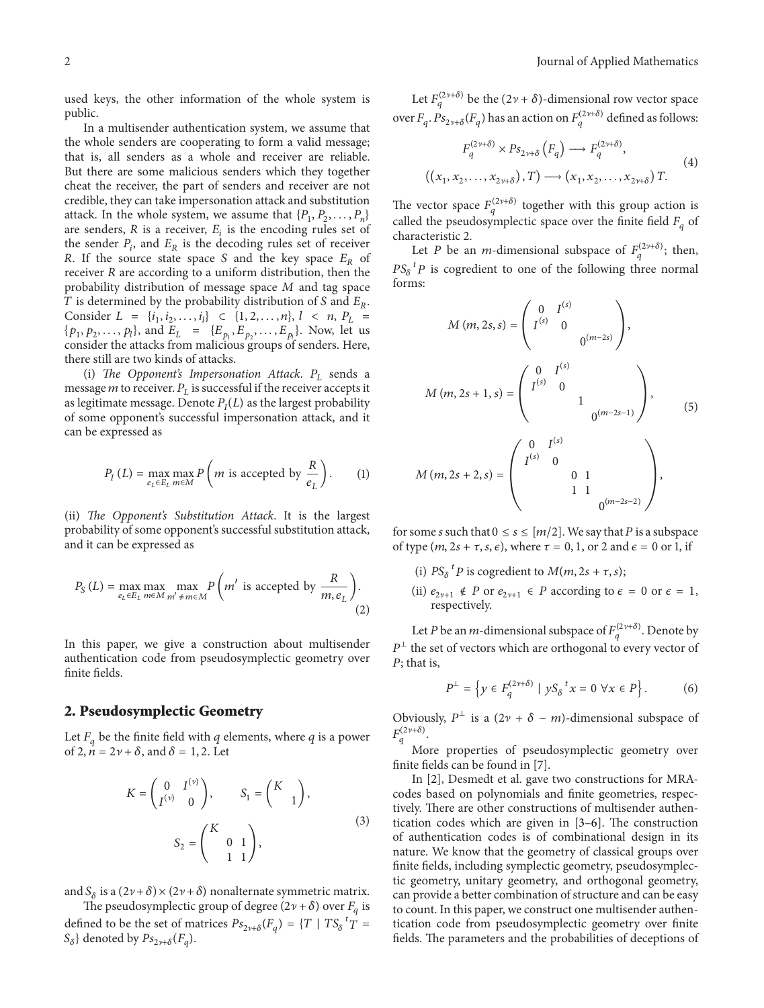used keys, the other information of the whole system is public.

In a multisender authentication system, we assume that the whole senders are cooperating to form a valid message; that is, all senders as a whole and receiver are reliable. But there are some malicious senders which they together cheat the receiver, the part of senders and receiver are not credible, they can take impersonation attack and substitution attack. In the whole system, we assume that  $\{P_1, P_2, \ldots, P_n\}$ are senders,  $R$  is a receiver,  $E_i$  is the encoding rules set of the sender  $P_i$ , and  $E_R$  is the decoding rules set of receiver R. If the source state space S and the key space  $E_R$  of receiver  $R$  are according to a uniform distribution, then the probability distribution of message space  $M$  and tag space T is determined by the probability distribution of S and  $E_R$ . Consider  $L = \{i_1, i_2, \ldots, i_l\} \subset \{1, 2, \ldots, n\}, l \prec n, P_L =$  $\{p_1, p_2, \ldots, p_l\}$ , and  $E_L = \{E_{p_1}, E_{p_2}, \ldots, E_{p_l}\}$ . Now, let us consider the attacks from malicious groups of senders. Here, there still are two kinds of attacks.

(i) *The Opponent's Impersonation Attack*.  $P_L$  sends a message  $m$  to receiver.  $P_L$  is successful if the receiver accepts it as legitimate message. Denote  $P_I(L)$  as the largest probability of some opponent's successful impersonation attack, and it can be expressed as

$$
P_I(L) = \max_{e_L \in E_L} \max_{m \in M} P\left(m \text{ is accepted by } \frac{R}{e_L}\right). \tag{1}
$$

(ii) *The Opponent's Substitution Attack*. It is the largest probability of some opponent's successful substitution attack, and it can be expressed as

$$
P_{S}(L) = \max_{e_L \in E_L} \max_{m \in M} \max_{m' \neq m \in M} P\left(m' \text{ is accepted by } \frac{R}{m, e_L}\right).
$$
\n(2)

In this paper, we give a construction about multisender authentication code from pseudosymplectic geometry over finite fields.

#### **2. Pseudosymplectic Geometry**

Let  $F_a$  be the finite field with q elements, where q is a power of 2,  $\vec{n} = 2\nu + \delta$ , and  $\delta = 1, 2$ . Let

$$
K = \begin{pmatrix} 0 & I^{(\nu)} \\ I^{(\nu)} & 0 \end{pmatrix}, \qquad S_1 = \begin{pmatrix} K \\ 1 \end{pmatrix},
$$

$$
S_2 = \begin{pmatrix} K & 0 & 1 \\ 1 & 1 \end{pmatrix}, \tag{3}
$$

and  $S_\delta$  is a  $(2\nu + \delta) \times (2\nu + \delta)$  nonalternate symmetric matrix.

The pseudosymplectic group of degree  $(2\nu + \delta)$  over  $F_q$  is defined to be the set of matrices  $Ps_{2\nu+\delta}(F_q) = \{T \mid TS_{\delta}^{\ t}T =$  $S_{\delta}$ } denoted by  $Ps_{2\nu+\delta}(F_a)$ .

Let  $F_q^{(2\nu+\delta)}$  be the  $(2\nu+\delta)$ -dimensional row vector space over  $F_q$ .  $Ps_{2\nu+\delta}(F_q)$  has an action on  $F_q^{(2\nu+\delta)}$  defined as follows:

$$
F_q^{(2\nu+\delta)} \times Ps_{2\nu+\delta} (F_q) \longrightarrow F_q^{(2\nu+\delta)},
$$
  

$$
((x_1, x_2, \dots, x_{2\nu+\delta}), T) \longrightarrow (x_1, x_2, \dots, x_{2\nu+\delta}) T.
$$
 (4)

The vector space  $F_q^{(2\nu+\delta)}$  together with this group action is called the pseudosymplectic space over the finite field  $F_q$  of characteristic 2.

Let P be an *m*-dimensional subspace of  $F_q^{(2\nu+\delta)}$ ; then,  $PS_{\delta}^{\ t}P$  is cogredient to one of the following three normal forms:

$$
M(m, 2s, s) = \begin{pmatrix} 0 & I^{(s)} & & \\ I^{(s)} & 0 & & \\ & & 0^{(m-2s)} \end{pmatrix},
$$
  

$$
M(m, 2s + 1, s) = \begin{pmatrix} 0 & I^{(s)} & & \\ I^{(s)} & 0 & & \\ & & 1 & \\ & & & 0^{(m-2s-1)} \end{pmatrix},
$$
  

$$
M(m, 2s + 2, s) = \begin{pmatrix} 0 & I^{(s)} & & \\ I^{(s)} & 0 & & \\ & & 0 & 1 & \\ & & & 1 & 1 \\ & & & & 0^{(m-2s-2)} \end{pmatrix},
$$

for some s such that  $0 \le s \le [m/2]$ . We say that P is a subspace of type  $(m, 2s + \tau, s, \epsilon)$ , where  $\tau = 0, 1$ , or 2 and  $\epsilon = 0$  or 1, if

- (i)  $PS_{\delta}^{\ t}P$  is cogredient to  $M(m, 2s + \tau, s);$
- (ii)  $e_{2\nu+1} \notin P$  or  $e_{2\nu+1} \in P$  according to  $\epsilon = 0$  or  $\epsilon = 1$ , respectively.

Let *P* be an *m*-dimensional subspace of  $F_q^{(2\nu+\delta)}$ . Denote by  $P^{\perp}$  the set of vectors which are orthogonal to every vector of  $P$ ; that is,

$$
P^{\perp} = \left\{ y \in F_q^{(2\nu + \delta)} \mid yS_\delta^{\ t} x = 0 \,\,\forall x \in P \right\}.
$$
 (6)

Obviously,  $P^{\perp}$  is a  $(2\nu + \delta - m)$ -dimensional subspace of  $F_q^{(2\nu+\delta)}.$ 

More properties of pseudosymplectic geometry over finite fields can be found in [7].

In [2], Desmedt et al. gave two constructions for MRAcodes based on polynomials and finite geometries, respectively. There are other constructions of multisender authentication codes which are given in [3–6]. The construction of authentication codes is of combinational design in its nature. We know that the geometry of classical groups over finite fields, including symplectic geometry, pseudosymplectic geometry, unitary geometry, and orthogonal geometry, can provide a better combination of structure and can be easy to count. In this paper, we construct one multisender authentication code from pseudosymplectic geometry over finite fields. The parameters and the probabilities of deceptions of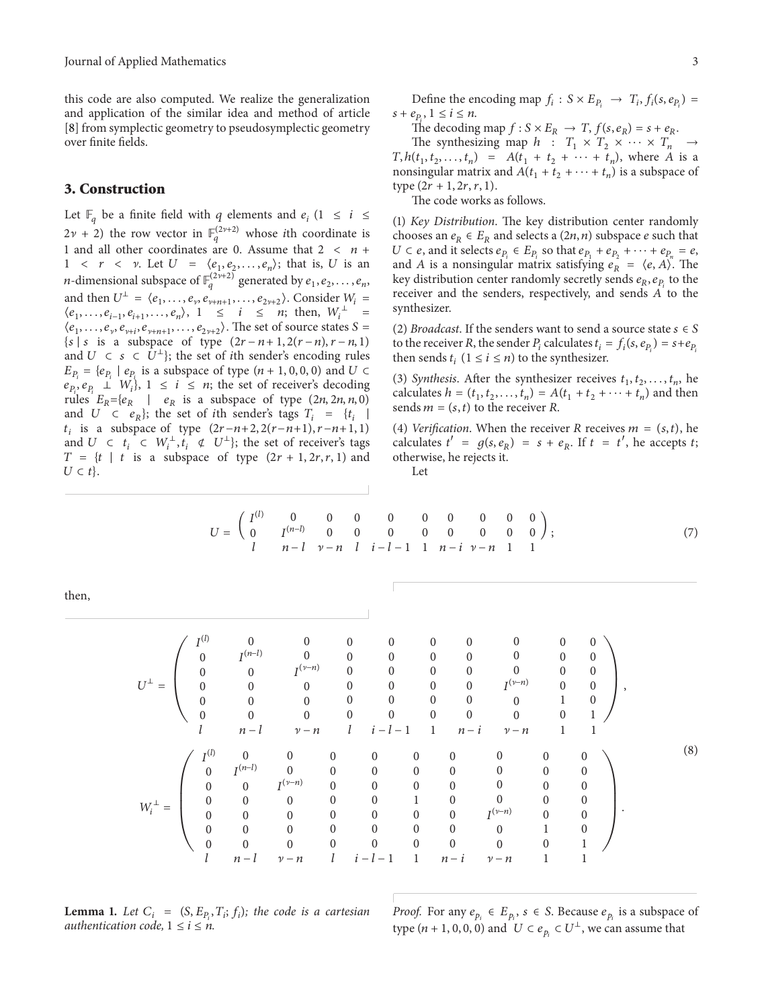this code are also computed. We realize the generalization and application of the similar idea and method of article [8] from symplectic geometry to pseudosymplectic geometry over finite fields.

# **3. Construction**

Let  $\mathbb{F}_q$  be a finite field with q elements and  $e_i$  (1  $\leq i \leq$  $2\nu + 2$ ) the row vector in  $\mathbb{F}_q^{(2\nu+2)}$  whose *i*th coordinate is 1 and all other coordinates are 0. Assume that  $2 < n +$  $1 \langle r \rangle \langle r \rangle$  Let  $U = \langle e_1, e_2, \ldots, e_n \rangle$ ; that is, U is an *n*-dimensional subspace of  $\mathbb{F}_q^{(2\nu+2)}$  generated by  $e_1, e_2, \ldots, e_n$ , and then  $U^{\perp} = \langle e_1, \ldots, e_{\nu}, e_{\nu+n+1}, \ldots, e_{2\nu+2} \rangle$ . Consider  $W_i$  =  $\langle e_1, \ldots, e_{i-1}, e_{i+1}, \ldots, e_n \rangle$ ,  $1 \leq i \leq n$ ; then,  $W_i^{\perp}$  =  $\langle e_1,\ldots,e_\nu,e_{\nu+i},e_{\nu+n+1},\ldots,e_{2\nu+2}\rangle$ . The set of source states  $S=$  $\{s \mid s \text{ is a subspace of type } (2r - n + 1, 2(r - n), r - n, 1) \}$ and  $U \subset s \subset \overline{U}^{\perp}$ ; the set of *i*th sender's encoding rules  $E_{P_i} = \{ e_{P_i} \mid e_{P_i} \text{ is a subspace of type } (n+1, 0, 0, 0) \text{ and } U \subset \}$  $e_{P_i}, e_{P_i} \perp W_i$ ,  $1 \le i \le n$ ; the set of receiver's decoding rules  $E_R = \{e_R \mid e_R$  is a subspace of type  $(2n, 2n, n, 0)$ and  $U \subset e_R$ }; the set of *i*th sender's tags  $T_i = \{ t_i \mid$  $t_i$  is a subspace of type  $(2r-n+2, 2(r-n+1), r-n+1, 1)$ and  $U \subset t_i \subset W_i^{\perp}, t_i \notin U^{\perp}$ ; the set of receiver's tags  $T = \{ t \mid t \text{ is a subspace of type } (2r + 1, 2r, r, 1) \text{ and }$  $U \subset t$ .

Define the encoding map  $f_i : S \times E_{P_i} \rightarrow T_i$ ,  $f_i(s, e_{P_i}) =$  $s + e_p$ ,  $1 \le i \le n$ .

The decoding map  $f: S \times E_R \rightarrow T$ ,  $f(s, e_R) = s + e_R$ .

The synthesizing map  $h: T_1 \times T_2 \times \cdots \times T_n \rightarrow$  $T, h(t_1, t_2, \ldots, t_n) = A(t_1 + t_2 + \cdots + t_n)$ , where A is a nonsingular matrix and  $A(t_1 + t_2 + \cdots + t_n)$  is a subspace of type  $(2r + 1, 2r, r, 1)$ .

The code works as follows.

(1) *Key Distribution*. The key distribution center randomly chooses an  $e_R \in E_R$  and selects a  $(2n, n)$  subspace *e* such that  $U \subset e$ , and it selects  $e_{P_i} \in E_{P_i}$  so that  $e_{P_1} + e_{P_2} + \cdots + e_{P_n} = e$ , and A is a nonsingular matrix satisfying  $e_R = \langle e, A \rangle$ . The key distribution center randomly secretly sends  $e_R, e_{P_1}$  to the receiver and the senders, respectively, and sends  $A$  to the synthesizer.

(2) *Broadcast*. If the senders want to send a source state  $s \in S$ to the receiver R, the sender  $P_i$  calculates  $t_i = f_i(s, e_{P_i}) = s + e_{P_i}$ then sends  $t_i$   $(1 \le i \le n)$  to the synthesizer.

(3) *Synthesis*. After the synthesizer receives  $t_1, t_2, \ldots, t_n$ , he calculates  $h = (t_1, t_2, \dots, t_n) = A(t_1 + t_2 + \dots + t_n)$  and then sends  $m = (s, t)$  to the receiver R.

(4) *Verification*. When the receiver R receives  $m = (s, t)$ , he calculates  $t' = g(s, e_R) = s + e_R$ . If  $t = t'$ , he accepts  $t_1$ ; otherwise, he rejects it.

Let

$$
U = \begin{pmatrix} I^{(l)} & 0 & 0 & 0 & 0 & 0 & 0 & 0 & 0 \\ 0 & I^{(n-l)} & 0 & 0 & 0 & 0 & 0 & 0 & 0 \\ l & n-l & \nu-n & l & i-l-1 & 1 & n-i & \nu-n & 1 & 1 \end{pmatrix};
$$
(7)

then,

$$
U^{\perp} = \begin{pmatrix} I^{(l)} & 0 & 0 & 0 & 0 & 0 & 0 & 0 & 0 & 0 & 0 \\ 0 & I^{(n-l)} & 0 & 0 & 0 & 0 & 0 & 0 & 0 & 0 \\ 0 & 0 & I^{(v-n)} & 0 & 0 & 0 & 0 & 0 & 0 & 0 \\ 0 & 0 & 0 & 0 & 0 & 0 & 0 & 0 & I^{(v-n)} & 0 & 0 \\ 0 & 0 & 0 & 0 & 0 & 0 & 0 & 0 & 0 & 1 & 0 \\ 0 & 0 & 0 & 0 & 0 & 0 & 0 & 0 & 0 & 0 & 1 \end{pmatrix},
$$
  
\n
$$
W_i^{\perp} = \begin{pmatrix} I^{(l)} & 0 & 0 & 0 & 0 & 0 & 0 & 0 & 0 & 0 & 0 \\ 0 & I^{(n-l)} & 0 & 0 & 0 & 0 & 0 & 0 & 0 & 0 \\ 0 & 0 & I^{(v-n)} & 0 & 0 & 0 & 0 & 0 & 0 & 0 \\ 0 & 0 & 0 & 0 & 0 & 0 & 0 & 0 & 0 & 0 \\ 0 & 0 & 0 & 0 & 0 & 0 & 0 & 0 & 0 & 0 \\ 0 & 0 & 0 & 0 & 0 & 0 & 0 & 0 & 0 & 1 \end{pmatrix}.
$$
  
\n
$$
W_i^{\perp} = \begin{pmatrix} I^{(l)} & 0 & 0 & 0 & 0 & 0 & 0 & 0 & 0 & 0 \\ 0 & I^{(n-l)} & 0 & 0 & 0 & 0 & 0 & 0 & 0 & 0 \\ 0 & 0 & 0 & 0 & 0 & 0 & 0 & 0 & 0 & 0 \\ 0 & 0 & 0 & 0 & 0 & 0 & 0 & 0 & 0 & 0 \\ 0 & 0 & 0 & 0 & 0 & 0 & 0 & 0 & 0 & 1 \end{pmatrix}.
$$
 (8)

**Lemma 1.** Let  $C_i$  =  $(S, E_{P_i}, T_i; f_i)$ ; the code is a cartesian *authentication code,*  $1 \le i \le n$ .

*Proof.* For any  $e_{p_i} \in E_{p_i}$ ,  $s \in S$ . Because  $e_{p_i}$  is a subspace of type  $(n + 1, 0, 0, 0)$  and  $U \subset e_{p_i} \subset U^{\perp}$ , we can assume that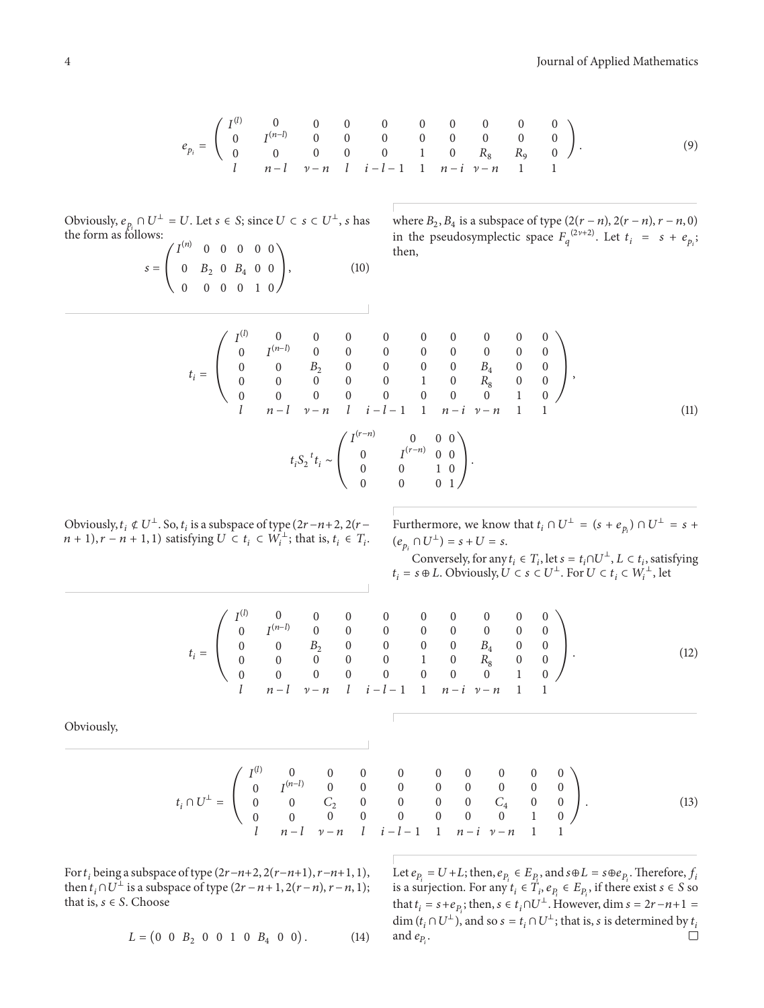$$
e_{p_i} = \begin{pmatrix} I^{(l)} & 0 & 0 & 0 & 0 & 0 & 0 & 0 & 0 & 0 \\ 0 & I^{(n-l)} & 0 & 0 & 0 & 0 & 0 & 0 & 0 & 0 \\ 0 & 0 & 0 & 0 & 0 & 1 & 0 & R_8 & R_9 & 0 \\ l & n-l & \nu-n & l & i-l-1 & 1 & n-i & \nu-n & 1 & 1 \end{pmatrix}.
$$
 (9)

Obviously,  $e_{p_i} \cap U^{\perp} = U$ . Let  $s \in S$ ; since  $U \subset s \subset U^{\perp}$ ,  $s$  has the form as follows:

$$
s = \begin{pmatrix} I^{(n)} & 0 & 0 & 0 & 0 & 0 \\ 0 & B_2 & 0 & B_4 & 0 & 0 \\ 0 & 0 & 0 & 0 & 1 & 0 \end{pmatrix}, \tag{10}
$$

where  $B_2, B_4$  is a subspace of type  $(2(r - n), 2(r - n), r - n, 0)$ in the pseudosymplectic space  $F_q^{(2\nu+2)}$ . Let  $t_i = s + e_{p_i}$ ; then,

$$
t_{i} = \begin{pmatrix} I^{(l)} & 0 & 0 & 0 & 0 & 0 & 0 & 0 & 0 & 0 \\ 0 & I^{(n-l)} & 0 & 0 & 0 & 0 & 0 & 0 & 0 & 0 \\ 0 & 0 & B_{2} & 0 & 0 & 0 & 0 & B_{4} & 0 & 0 \\ 0 & 0 & 0 & 0 & 0 & 1 & 0 & R_{8} & 0 & 0 \\ 0 & 0 & 0 & 0 & 0 & 0 & 0 & 0 & 1 & 0 \end{pmatrix},
$$
  
\n
$$
t_{i} = \begin{pmatrix} I^{(n-l)} & 0 & 0 & 0 & 0 & 0 & 0 & 0 \\ 0 & 0 & 0 & 0 & 0 & 0 & 0 & 1 \\ 0 & 0 & 0 & 0 & 0 & 0 & 1 \\ 0 & 0 & 0 & 1 & 0 & 0 \\ 0 & 0 & 0 & 0 & 1 \end{pmatrix},
$$
  
\n(11)

Obviously,  $t_i \notin U^{\perp}$ . So,  $t_i$  is a subspace of type  $(2r-n+2, 2(r-1))$  $(n + 1), r - n + 1, 1$ ) satisfying  $U \subset t_i \subset W_i^{\perp}$ ; that is,  $t_i \in T_i$ .

Furthermore, we know that  $t_i \cap U^{\perp} = (s + e_{p_i}) \cap U^{\perp} = s + \frac{1}{2}$  $(e_{p_i} \cap U^{\perp})=s+U=s.$ 

Conversely, for any  $t_i \in T_i$ , let  $s=t_i \cap U^{\perp}, L \subset t_i$ , satisfying  $t_i = s \oplus L$ . Obviously,  $U \subset s \subset U^{\perp}$ . For  $U \subset t_i \subset W_i^{\perp}$ , let

$$
t_i = \left(\begin{array}{cccccccccc} I^{(l)} & 0 & 0 & 0 & 0 & 0 & 0 & 0 & 0 & 0 \\ 0 & I^{(n-l)} & 0 & 0 & 0 & 0 & 0 & 0 & 0 & 0 \\ 0 & 0 & B_2 & 0 & 0 & 0 & 0 & B_4 & 0 & 0 \\ 0 & 0 & 0 & 0 & 0 & 1 & 0 & R_8 & 0 & 0 \\ 0 & 0 & 0 & 0 & 0 & 0 & 0 & 0 & 1 & 0 \\ l & n-l & \nu - n & l & i-l-1 & 1 & n-i & \nu - n & 1 & 1 \end{array}\right).
$$
 (12)

Obviously,

$$
t_i \cap U^{\perp} = \begin{pmatrix} I^{(l)} & 0 & 0 & 0 & 0 & 0 & 0 & 0 & 0 & 0 \\ 0 & I^{(n-l)} & 0 & 0 & 0 & 0 & 0 & 0 & 0 & 0 \\ 0 & 0 & C_2 & 0 & 0 & 0 & 0 & C_4 & 0 & 0 \\ 0 & 0 & 0 & 0 & 0 & 0 & 0 & 0 & 1 & 0 \\ l & n-l & \nu - n & l & i-l-1 & 1 & n-i & \nu - n & 1 & 1 \end{pmatrix}.
$$
 (13)

For  $t_i$  being a subspace of type (2 $r-n+2$ , 2( $r-n+1$ ),  $r-n+1$ , 1), then  $t_i \cap U^{\perp}$  is a subspace of type  $(2r - n + 1, 2(r - n), r - n, 1);$ that is,  $s \in S$ . Choose

Let  $e_{P_i} = U + L$ ; then,  $e_{P_i} \in E_{P_i}$ , and  $s \oplus L = s \oplus e_{P_i}$ . Therefore,  $f_i$ is a surjection. For any  $t_i \in T_i$ ,  $e_{P_i} \in E_{P_i}$ , if there exist  $s \in S$  so that  $t_i = s + e_{P_i}$ ; then,  $s \in t_i \cap U^{\perp}$ . However, dim  $s = 2r - n + 1$ dim  $(t_i \cap U^{\perp})$ , and so  $s = t_i \cap U^{\perp}$ ; that is, *s* is determined by  $t_i$  and  $e_p$ . and  $e_{P_i}$ .

$$
L = \begin{pmatrix} 0 & 0 & B_2 & 0 & 0 & 1 & 0 & B_4 & 0 & 0 \end{pmatrix}.
$$
 (14)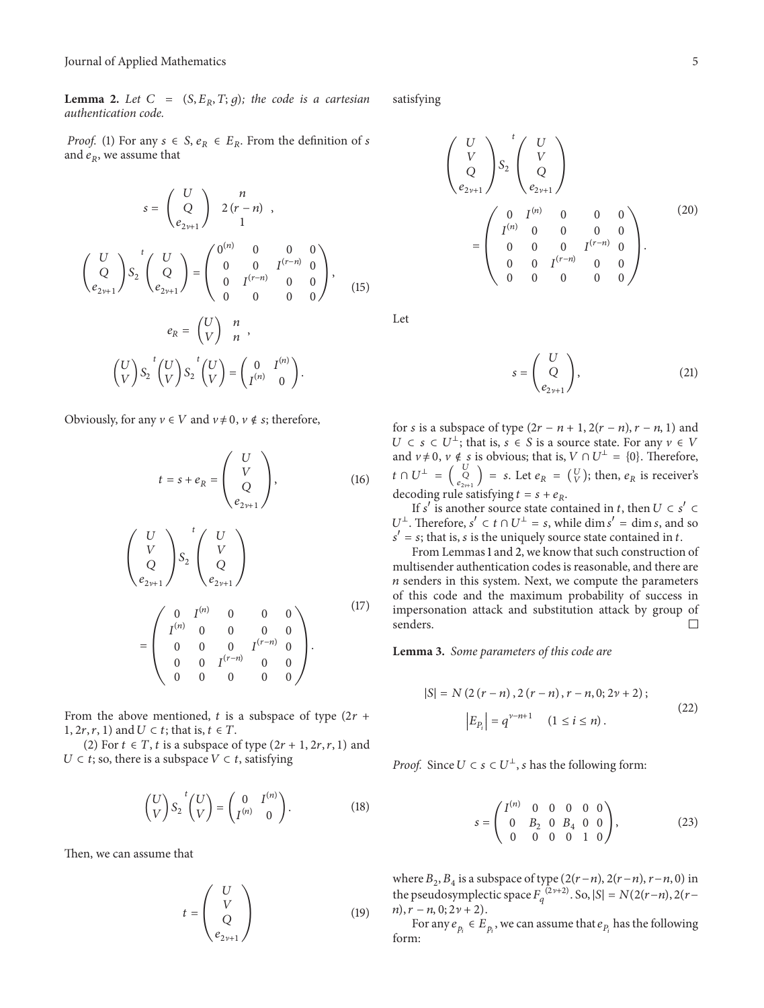**Lemma 2.** Let  $C = (S, E_R, T; g)$ ; the code is a cartesian *authentication code.*

*Proof.* (1) For any  $s \in S$ ,  $e_R \in E_R$ . From the definition of s and  $e_R$ , we assume that

$$
s = \begin{pmatrix} U \\ Q \\ e_{2\nu+1} \end{pmatrix} \begin{pmatrix} n \\ 2(r-n) \\ 1 \end{pmatrix},
$$
  

$$
\begin{pmatrix} U \\ Q \\ e_{2\nu+1} \end{pmatrix} S_2 \begin{pmatrix} U \\ Q \\ e_{2\nu+1} \end{pmatrix} = \begin{pmatrix} 0^{(n)} & 0 & 0 & 0 \\ 0 & 0 & I^{(r-n)} & 0 \\ 0 & I^{(r-n)} & 0 & 0 \\ 0 & 0 & 0 & 0 \end{pmatrix},
$$
  

$$
e_R = \begin{pmatrix} U \\ V \end{pmatrix} \begin{pmatrix} n \\ n \end{pmatrix},
$$
  

$$
\begin{pmatrix} U \\ V \end{pmatrix} S_2 \begin{pmatrix} t \\ V \end{pmatrix} S_2 \begin{pmatrix} t \\ V \end{pmatrix} = \begin{pmatrix} 0 & I^{(n)} \\ I^{(n)} & 0 \end{pmatrix}.
$$
 (15)

Obviously, for any  $v \in V$  and  $v \neq 0$ ,  $v \notin s$ ; therefore,

$$
t = s + e_R = \begin{pmatrix} U \\ V \\ Q \\ e_{2\nu+1} \end{pmatrix}, \qquad (16)
$$

$$
\begin{pmatrix} U \\ V \\ Q \\ e_{2\nu+1} \end{pmatrix} S_2 \begin{pmatrix} U \\ V \\ Q \\ e_{2\nu+1} \end{pmatrix}
$$

$$
= \begin{pmatrix} 0 & I^{(n)} & 0 & 0 & 0 \\ I^{(n)} & 0 & 0 & 0 & 0 \\ 0 & 0 & 0 & I^{(r-n)} & 0 \\ 0 & 0 & I^{(r-n)} & 0 & 0 \\ 0 & 0 & 0 & 0 & 0 \end{pmatrix}.
$$
 (17)

From the above mentioned, t is a subspace of type  $(2r +$ 1,  $2r, r, 1$  and  $U \subset t$ ; that is,  $t \in T$ .

(2) For  $t \in T$ ,  $t$  is a subspace of type  $(2r + 1, 2r, r, 1)$  and  $U \subset t$ ; so, there is a subspace  $V \subset t$ , satisfying

$$
\begin{pmatrix} U \\ V \end{pmatrix} S_2 \begin{pmatrix} U \\ V \end{pmatrix} = \begin{pmatrix} 0 & I^{(n)} \\ I^{(n)} & 0 \end{pmatrix}.
$$
 (18)

Then, we can assume that

$$
t = \begin{pmatrix} U \\ V \\ Q \\ e_{2\nu+1} \end{pmatrix}
$$
 (19)

satisfying

$$
\begin{pmatrix}\nU \\
V \\
Q \\
e_{2\nu+1}\n\end{pmatrix}\nS_2\n\begin{pmatrix}\nU \\
V \\
Q \\
e_{2\nu+1}\n\end{pmatrix}
$$
\n
$$
=\n\begin{pmatrix}\n0 & I^{(n)} & 0 & 0 & 0 \\
I^{(n)} & 0 & 0 & 0 & 0 \\
0 & 0 & 0 & I^{(r-n)} & 0 \\
0 & 0 & I^{(r-n)} & 0 & 0 \\
0 & 0 & 0 & 0 & 0\n\end{pmatrix}.
$$
\n(20)

Let

$$
s = \begin{pmatrix} U \\ Q \\ e_{2\nu+1} \end{pmatrix},
$$
 (21)

for *s* is a subspace of type  $(2r - n + 1, 2(r - n), r - n, 1)$  and  $U \subset s \subset U^{\perp}$ ; that is,  $s \in S$  is a source state. For any  $v \in V$ and  $v \neq 0$ ,  $v \notin s$  is obvious; that is,  $V \cap U^{\perp} = \{0\}$ . Therefore,  $t \cap U^{\perp} = \begin{pmatrix} U \\ e_{2y+1} \end{pmatrix} = s$ . Let  $e_R = \begin{pmatrix} U \\ V \end{pmatrix}$ ; then,  $e_R$  is receiver's decoding rule satisfying  $t = s + e_R$ .

If s' is another source state contained in t, then  $U \subset s'$  $U^{\perp}$ . Therefore,  $s' \subset t \cap U^{\perp} = s$ , while  $\dim s' = \dim s$ , and so  $s' = s$ ; that is, *s* is the uniquely source state contained in *t*.

From Lemmas 1 and 2, we know that such construction of multisender authentication codes is reasonable, and there are  $n$  senders in this system. Next, we compute the parameters of this code and the maximum probability of success in impersonation attack and substitution attack by group of senders.  $\Box$ 

**Lemma 3.** *Some parameters of this code are*

$$
|S| = N(2(r - n), 2(r - n), r - n, 0; 2\nu + 2);
$$
  

$$
|E_{P_i}| = q^{\nu - n + 1} \quad (1 \le i \le n).
$$
 (22)

*Proof.* Since  $U \subset s \subset U^{\perp}$ , *s* has the following form:

$$
s = \begin{pmatrix} I^{(n)} & 0 & 0 & 0 & 0 & 0 \\ 0 & B_2 & 0 & B_4 & 0 & 0 \\ 0 & 0 & 0 & 0 & 1 & 0 \end{pmatrix},
$$
(23)

where  $B_2$ ,  $B_4$  is a subspace of type  $(2(r-n), 2(r-n), r-n, 0)$  in the pseudosymplectic space  $F_q^{(2\nu+2)}$ . So,  $|S| = N(2(r-n), 2(r-n))$  $n, r - n, 0; 2\nu + 2$ .

For any  $e_{p_i} \in E_{p_i}$ , we can assume that  $e_{p_i}$  has the following form: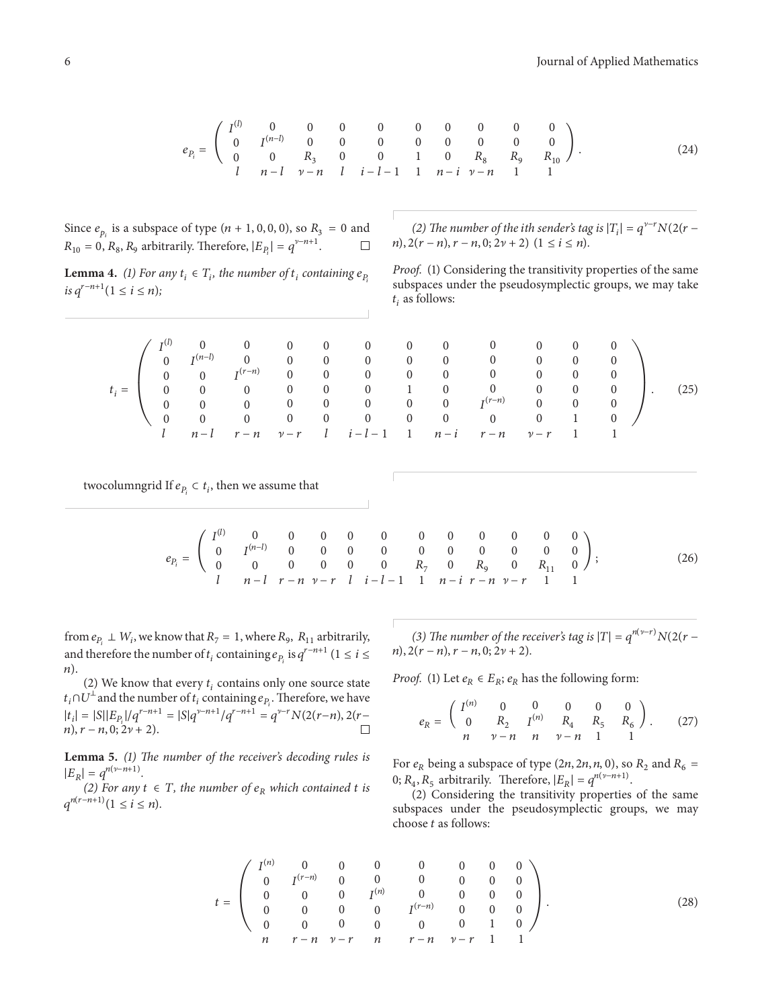$$
e_{P_i} = \begin{pmatrix} I^{(l)} & 0 & 0 & 0 & 0 & 0 & 0 & 0 & 0 & 0 \\ 0 & I^{(n-l)} & 0 & 0 & 0 & 0 & 0 & 0 & 0 & 0 \\ 0 & 0 & R_3 & 0 & 0 & 1 & 0 & R_8 & R_9 & R_{10} \\ l & n-l & \nu-n & l & i-l-1 & 1 & n-i & \nu-n & 1 & 1 \end{pmatrix}.
$$
 (24)

Since  $e_{p_i}$  is a subspace of type  $(n + 1, 0, 0, 0)$ , so  $R_3 = 0$  and  $R_{10} = 0$ ,  $R_8$ ,  $R_9$  arbitrarily. Therefore,  $|E_p| = a^{\gamma - n + 1}$ .  $R_{10} = 0$ ,  $R_8$ ,  $R_9$  arbitrarily. Therefore,  $|E_{P_i}| = q^{\nu - n + 1}$ .

**Lemma 4.** *(1) For any*  $t_i \in T_i$ , the number of  $t_i$  containing  $e_{P_i}$ *is*  $q^{r-n+1} (1 \le i \le n);$ 

*(2) The number of the ith sender's tag is*  $|T_i| = q^{v-r} N(2(r$  $n$ ,  $2(r - n)$ ,  $r - n$ ,  $0$ ;  $2\nu + 2$ )  $(1 \le i \le n)$ .

*Proof.* (1) Considering the transitivity properties of the same subspaces under the pseudosymplectic groups, we may take  $t_i$  as follows:

|  |                                               |  | $I^{(l)}$ 0 0 0 0 0 0 0 0 0 0 0 0 0                                                   |  |  |  |      |
|--|-----------------------------------------------|--|---------------------------------------------------------------------------------------|--|--|--|------|
|  | $\begin{pmatrix} 0 & I^{(n-l)} \end{pmatrix}$ |  | $\begin{matrix} 0 & 0 & 0 & 0 & 0 & 0 & 0 & 0 & 0 & 0 \end{matrix}$                   |  |  |  |      |
|  |                                               |  | $\begin{pmatrix} 0 & 0 & I^{(r-n)} & 0 & 0 & 0 & 0 & 0 & 0 & 0 & 0 \end{pmatrix}$     |  |  |  |      |
|  |                                               |  | $t_i =$   0 0 0 0 0 0 0 1 0 0 0 0 0 0                                                 |  |  |  | (25) |
|  |                                               |  | $\begin{pmatrix} 0 & 0 & 0 & 0 & 0 & 0 & 0 & 0 & I^{(r-n)} & 0 & 0 & 0 \end{pmatrix}$ |  |  |  |      |
|  |                                               |  |                                                                                       |  |  |  |      |
|  |                                               |  | $l$ $n-l$ $r-n$ $\nu-r$ $l$ $i-l-1$ 1 $n-i$ $r-n$ $\nu-r$ 1 1                         |  |  |  |      |

twocolumngrid If  $e_{P_i} \subset t_i$ , then we assume that

$$
e_{P_i} = \begin{pmatrix} I^{(l)} & 0 & 0 & 0 & 0 & 0 & 0 & 0 & 0 & 0 & 0 \\ 0 & I^{(n-l)} & 0 & 0 & 0 & 0 & 0 & 0 & 0 & 0 & 0 \\ 0 & 0 & 0 & 0 & 0 & 0 & R_7 & 0 & R_9 & 0 & R_{11} & 0 \\ l & n-l & r-n & \nu-r & l & i-l-1 & 1 & n-i & r-n & \nu-r & 1 & 1 \end{pmatrix};
$$
(26)

from  $e_{P_1} \perp W_i$ , we know that  $R_7 = 1$ , where  $R_9$ ,  $R_{11}$  arbitrarily, and therefore the number of  $t_i$  containing  $e_p$  is  $q^{r-n+1}$  ( $1 \le i \le n$ ).

(2) We know that every  $t_i$  contains only one source state  $t_i \cap U^\perp$  and the number of  $t_i$  containing  $e_{P_i}$ . Therefore, we have  $|t_i| = |S||E_{P_i}|/q^{r-n+1} = |S|q^{v-n+1}/q^{r-n+1} = q^{v-r}N(2(r-n), 2(r-n))$  $n, r - n, 0; 2\nu + 2.$  $\Box$ 

**Lemma 5.** *(1) The number of the receiver's decoding rules is*  $|E_p|=q^{n(\nu-n+1)}$ .

*(2) For any*  $t$  ∈  $T$ *, the number of*  $e<sub>R</sub>$  *which contained*  $t$  *is*  $q^{n(r-n+1)}(1 \leq i \leq n).$ 

(3) The number of the receiver's tag is  $|T| = q^{n(\nu-r)}N(2(r$  $n$ ,  $2(r - n)$ ,  $r - n$ , 0;  $2\nu + 2$ ).

*Proof.* (1) Let  $e_R \in E_R$ ;  $e_R$  has the following form:

$$
e_R = \begin{pmatrix} I^{(n)} & 0 & 0 & 0 & 0 & 0 \\ 0 & R_2 & I^{(n)} & R_4 & R_5 & R_6 \\ n & \nu - n & n & \nu - n & 1 & 1 \end{pmatrix} . \tag{27}
$$

For  $e_R$  being a subspace of type (2*n*, 2*n*, *n*, 0), so  $R_2$  and  $R_6$  = 0;  $R_4$ ,  $R_5$  arbitrarily. Therefore,  $|E_R| = q^{n(\nu - n+1)}$ .

(2) Considering the transitivity properties of the same subspaces under the pseudosymplectic groups, we may choose  $t$  as follows:

$$
t = \begin{pmatrix} I^{(n)} & 0 & 0 & 0 & 0 & 0 & 0 & 0 \\ 0 & I^{(r-n)} & 0 & 0 & 0 & 0 & 0 & 0 \\ 0 & 0 & 0 & I^{(n)} & 0 & 0 & 0 & 0 \\ 0 & 0 & 0 & 0 & I^{(r-n)} & 0 & 0 & 0 \\ 0 & 0 & 0 & 0 & 0 & 0 & 1 & 0 \\ n & r-n & \nu-r & n & r-n & \nu-r & 1 & 1 \end{pmatrix}.
$$
 (28)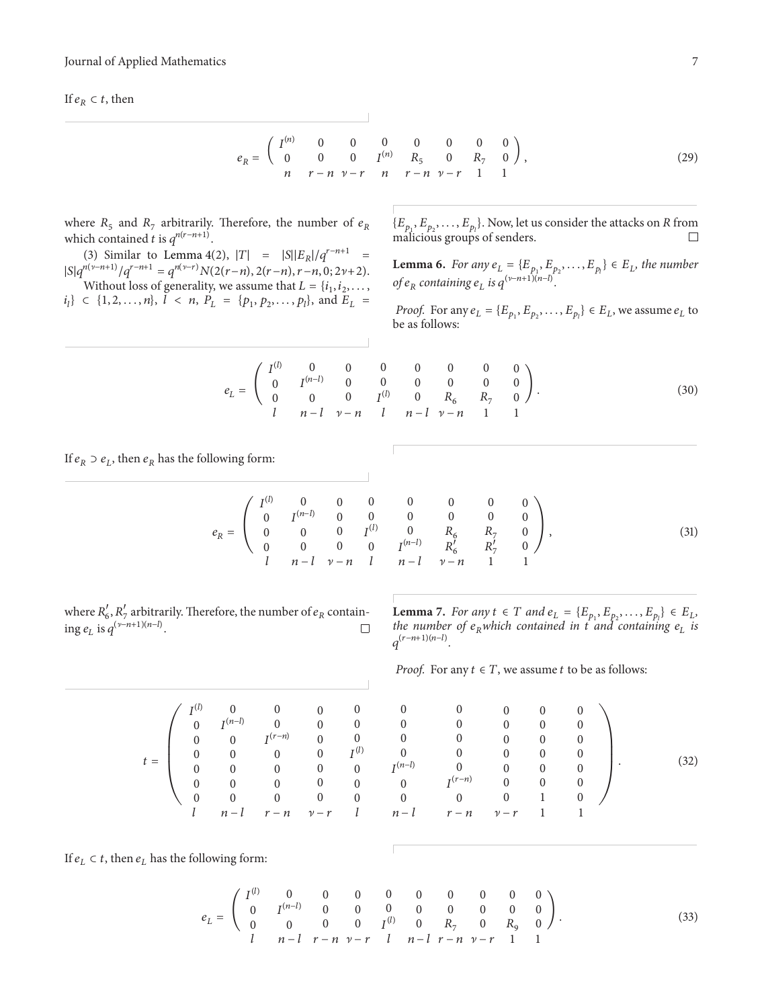If  $e_R \subset t$ , then

$$
e_R = \begin{pmatrix} I^{(n)} & 0 & 0 & 0 & 0 & 0 & 0 \\ 0 & 0 & 0 & I^{(n)} & R_5 & 0 & R_7 & 0 \\ n & r - n & \nu - r & n & r - n & \nu - r & 1 & 1 \end{pmatrix},
$$
(29)

where  $R_5$  and  $R_7$  arbitrarily. Therefore, the number of  $e_R$ which contained *t* is  $q^{n(r-n+1)}$ .

(3) Similar to Lemma 4(2),  $|T| = |S||E_R|/q^{r-n+1}$  $|S|q^{n(\nu-n+1)}/q^{r-n+1} = q^{n(\nu-r)}N(2(r-n), 2(r-n), r-n, 0; 2\nu+2).$ 

Without loss of generality, we assume that  $L = \{i_1, i_2, \ldots, i_m\}$  $i_l$ }  $\in$  {1, 2, ..., n},  $l \le n$ ,  $P_L = \{p_1, p_2, \ldots, p_l\}$ , and  $E_L =$ 

 $\{E_{p_1}, E_{p_2}, \ldots, E_{p_l}\}\$ . Now, let us consider the attacks on R from malicious groups of senders.

**Lemma 6.** *For any*  $e_L = \{E_{p_1}, E_{p_2}, \dots, E_{p_l}\} \in E_L$ , the number *of*  $e_R$  containing  $e_L$  is  $q^{(\nu-n+1)(n-l)}$ .

*Proof.* For any  $e_L = \{E_{p_1}, E_{p_2}, \dots, E_{p_l}\} \in E_L$ , we assume  $e_L$  to be as follows:

$$
e_L = \begin{pmatrix} I^{(l)} & 0 & 0 & 0 & 0 & 0 & 0 & 0 \\ 0 & I^{(n-l)} & 0 & 0 & 0 & 0 & 0 & 0 \\ 0 & 0 & 0 & I^{(l)} & 0 & R_6 & R_7 & 0 \\ l & n-l & \nu-n & l & n-l & \nu-n & 1 & 1 \end{pmatrix}.
$$
 (30)

If  $e_R \supset e_L$ , then  $e_R$  has the following form:

$$
e_R = \begin{pmatrix} I^{(l)} & 0 & 0 & 0 & 0 & 0 & 0 & 0 \\ 0 & I^{(n-l)} & 0 & 0 & 0 & 0 & 0 & 0 \\ 0 & 0 & 0 & I^{(l)} & 0 & R_6 & R_7 & 0 \\ 0 & 0 & 0 & 0 & I^{(n-l)} & R'_6 & R'_7 & 0 \end{pmatrix},
$$
(31)

where  $R'_6$ ,  $R'_7$  arbitrarily. Therefore, the number of  $e_R$  containing  $e_L$  is  $q^{(\nu-n+1)(n-l)}$ .  $\Box$ 

> $\overline{0}$  $I^{(n-l)}$  $\overline{0}$  $\overline{0}$  $\overline{0}$  $\overline{0}$  $\overline{0}$

 $\overline{0}$  $\overline{0}$  $I^{(r-n)}$  $\overline{0}$  $\overline{0}$  $\overline{0}$  $\overline{0}$ 

 $\overline{0}$  $\overline{0}$  $\overline{0}$  $\overline{0}$  $\overline{0}$  $\overline{0}$  $\overline{0}$ 

 $I^{(l)}$  $\overline{0}$  $\overline{0}$  $\overline{0}$  $\overline{0}$  $\overline{0}$  $\overline{0}$ 

**Lemma** 7. *For any*  $t \in T$  *and*  $e_L = \{E_{p_1}, E_{p_2}, \dots, E_{p_l}\} \in E_L$ , *the number of*  $e_R$ *which contained in*  $\vec{t}$  *and containing*  $e_L$  *is*  $q^{(r-n+1)(n-l)}$ .

*Proof.* For any  $t \in T$ , we assume  $t$  to be as follows:

0 0 0 () 0 0 0 0 0 0 0 (−) 0 0 0 0 0 0 0 (−) 0 0 0 0 0 0 0 0 0 0 0 0 0 0 1 0 0 0 0 0 0 0 ))) ) − − ] − − − ] − 1 1 . (32)

If  $e_L \subset t$ , then  $e_L$  has the following form:

 $t =$ 

 $\Delta$ 

$$
e_L = \begin{pmatrix} I^{(l)} & 0 & 0 & 0 & 0 & 0 & 0 & 0 & 0 & 0 \\ 0 & I^{(n-l)} & 0 & 0 & 0 & 0 & 0 & 0 & 0 & 0 \\ 0 & 0 & 0 & 0 & I^{(l)} & 0 & R_7 & 0 & R_9 & 0 \\ l & n-l & r-n & \nu-r & l & n-l & r-n & \nu-r & 1 & 1 \end{pmatrix}.
$$
 (33)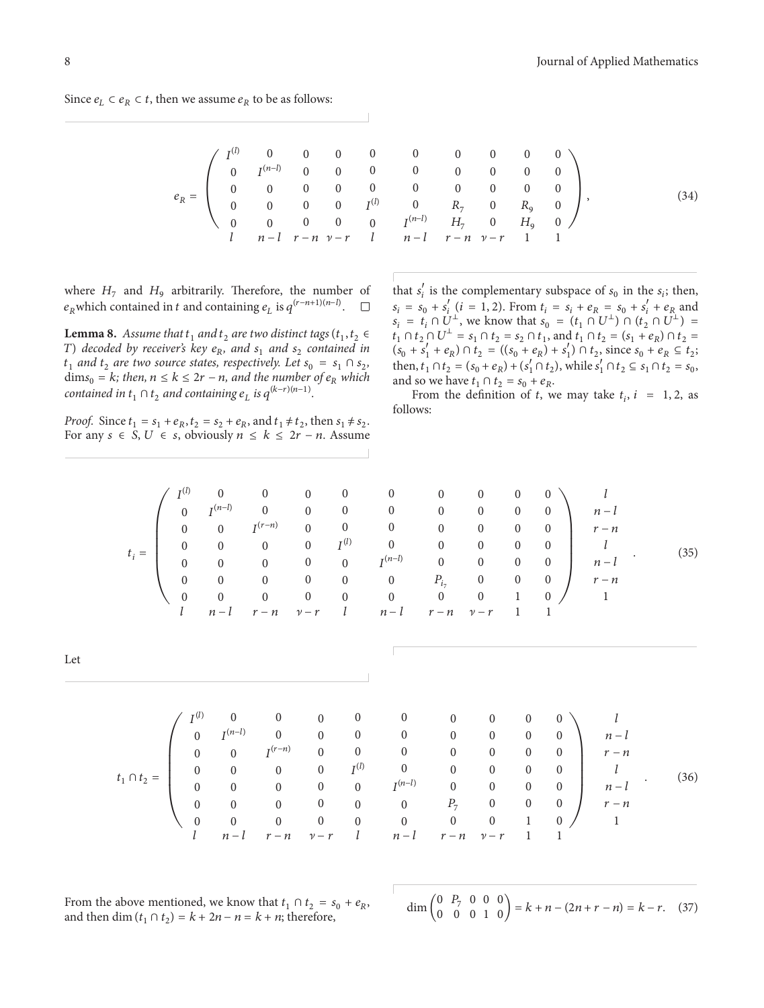Since  $e_L \subset e_R \subset t$ , then we assume  $e_R$  to be as follows:

|  |  |  |  |  | (34)                                                                                                                                                                                                                                                                                                                                                                 |
|--|--|--|--|--|----------------------------------------------------------------------------------------------------------------------------------------------------------------------------------------------------------------------------------------------------------------------------------------------------------------------------------------------------------------------|
|  |  |  |  |  |                                                                                                                                                                                                                                                                                                                                                                      |
|  |  |  |  |  |                                                                                                                                                                                                                                                                                                                                                                      |
|  |  |  |  |  |                                                                                                                                                                                                                                                                                                                                                                      |
|  |  |  |  |  | $e_R=\left( \begin{array}{cccccccccccc} I^{(l)} & 0 & 0 & 0 & 0 & 0 & 0 & 0 & 0 & 0 \\ 0 & I^{(n-l)} & 0 & 0 & 0 & 0 & 0 & 0 & 0 & 0 \\ 0 & 0 & 0 & 0 & 0 & 0 & 0 & 0 & 0 & 0 \\ 0 & 0 & 0 & 0 & I^{(l)} & 0 & R_7 & 0 & R_9 & 0 \\ 0 & 0 & 0 & 0 & 0 & I^{(n-l)} & H_7 & 0 & H_9 & 0 \\ 1 & n-l & r-n & \nu-r & l & n-l & r-n & \nu-r & 1 & 1 \end{array} \right),$ |

)))))

 $l$  $n-l$  $r - n$  $l$  $n-1$  $r - n$ 

 $(36)$ 

 $\overline{\phantom{a}}$ 

where  $H_7$  and  $H_9$  arbitrarily. Therefore, the number of  $e_p$  which contained in t and containing  $e_r$  is  $q^{(r-n+1)(n-l)}$ .  $e_R$ which contained in *t* and containing  $e_L$  is  $q^{(r-n+1)(n-l)}$ .

**Lemma 8.** *Assume that*  $t_1$  *and*  $t_2$  *are two distinct tags*  $(t_1, t_2 \in$ *T*) decoded by receiver's key  $e_R$ , and  $s_1$  and  $s_2$  contained in  $t_1$  *and*  $t_2$  *are two source states, respectively. Let*  $s_0 = s_1 \cap s_2$ ,  $\dim s_0 = k$ ; then,  $n \leq k \leq 2r - n$ , and the number of  $e_R$  which *contained in*  $t_1 \cap t_2$  *and containing*  $e_L$  *is*  $q^{(k-r)(n-1)}$ *.* 

*Proof.* Since  $t_1 = s_1 + e_R$ ,  $t_2 = s_2 + e_R$ , and  $t_1 \neq t_2$ , then  $s_1 \neq s_2$ . For any  $s \in S$ ,  $U \in s$ , obviously  $n \leq k \leq 2r - n$ . Assume

that  $s'_i$  is the complementary subspace of  $s_0$  in the  $s_i$ ; then,  $s_i = s_0 + s'_i$  (*i* = 1, 2). From  $t_i = s_i + e_R = s_0 + s'_i + e_R$  and  $s_i = t_i \cap U^{\perp}$ , we know that  $s_0 = (t_1 \cap U^{\perp}) \cap (t_2 \cap U^{\perp}) =$  $t_1 \cap t_2 \cap U^{\perp} = s_1 \cap t_2 = s_2 \cap t_1$ , and  $t_1 \cap t_2 = (s_1 + e_R) \cap t_2 =$  $(s_0 + s'_1 + e_R) \cap t_2 = ((s_0 + e_R) + s'_1) \cap t_2$ , since  $s_0 + e_R \subseteq t_2$ ; then,  $t_1 \cap t_2 = (s_0 + e_R) + (s'_1 \cap t_2)$ , while  $s'_1 \cap t_2 \subseteq s_1 \cap t_2 = s_0$ , and so we have  $t_1 \cap t_2 = s_0 + e_R$ .

From the definition of t, we may take  $t_i$ ,  $i = 1, 2$ , as follows:

|  |                         |                  |                     |                          |                | $\begin{array}{ccccccccc}\n0 & 0 & 0 & 0 & 0 \\ \hline\nI^{(n-l)} & 0 & 0 & 0 & 0\n\end{array}$ | $\overline{0}$ | $\overline{\mathbf{0}}$ | $0 \qquad 0$   |                |
|--|-------------------------|------------------|---------------------|--------------------------|----------------|-------------------------------------------------------------------------------------------------|----------------|-------------------------|----------------|----------------|
|  | $\overline{\mathbf{0}}$ |                  |                     |                          |                | $\begin{matrix} 0 & 0 & 0 & 0 & 0 & 0 \end{matrix}$                                             |                |                         | $\overline{0}$ | $\overline{0}$ |
|  | $\overline{0}$          | $\overline{0}$   | $I^{(r-n)}$         | $\overline{\phantom{0}}$ |                | $0 \qquad 0 \qquad 0$                                                                           |                | $\overline{0}$          | $0 \qquad 0$   |                |
|  | $\overline{0}$          | $\boldsymbol{0}$ |                     |                          |                | $\begin{matrix} 0 & 0 & I^{(l)} & 0 & 0 \end{matrix}$                                           |                |                         | $0 \qquad 0$   |                |
|  | $\overline{0}$          |                  | 0 0 0 0 $I^{(n-l)}$ |                          |                |                                                                                                 | $0\qquad 0$    |                         | $0\qquad 0$    |                |
|  | $\overline{0}$          | $\mathbf{0}$     | $0\qquad 0$         |                          | $\overline{0}$ | 0 $P_{i_7}$ 0 0 0                                                                               |                |                         |                |                |
|  | $\theta$                | $\overline{0}$   | $\overline{0}$      | $\overline{\phantom{0}}$ |                | $\begin{matrix} 0 & 0 & 0 \end{matrix} \qquad \begin{matrix} 0 & 0 \end{matrix}$                |                |                         | $1 \t 0$       |                |
|  |                         | $n-l$            | $r - n$             |                          |                | $\nu-r$ $l$ $n-l$                                                                               |                | $r-n$ $\nu-r$ 1 1       |                |                |

$$
\begin{array}{cccccc}\n0 & 0 & 0 & 0 \\
0 & 0 & 0 & 0 \\
0 & 0 & 0 & 0 \\
0 & 0 & 0 & 0 \\
0 & 0 & 0 & 0 \\
P_{i_7} & 0 & 0 & 0 \\
0 & 0 & 1 & 0\n\end{array}\n\begin{array}{c}\n1 \\
n-l \\
r-n \\
l \\
n-l\n\end{array} \tag{35}
$$

$$
f_{\rm{max}}
$$

$$
t_1 \cap t_2 = \left(\begin{array}{cccccccc} I^{(l)} & 0 & 0 & 0 & 0 & 0 & 0 & 0 & 0 & 0 \\ 0 & I^{(n-l)} & 0 & 0 & 0 & 0 & 0 & 0 & 0 & 0 \\ 0 & 0 & I^{(r-n)} & 0 & 0 & 0 & 0 & 0 & 0 & 0 \\ 0 & 0 & 0 & 0 & I^{(l)} & 0 & 0 & 0 & 0 & 0 \\ 0 & 0 & 0 & 0 & 0 & I^{(n-l)} & 0 & 0 & 0 & 0 \\ 0 & 0 & 0 & 0 & 0 & 0 & P_7 & 0 & 0 & 0 \\ 0 & 0 & 0 & 0 & 0 & 0 & 0 & 0 & 1 & 0 \\ 0 & 0 & 0 & 0 & 0 & 0 & 0 & 0 & 1 & 0 \\ I & n-l & r-n & \nu-r & l & n-l & r-n & \nu-r & 1 & 1 \end{array}\right)
$$

$$
\dim\begin{pmatrix} 0 & P_7 & 0 & 0 & 0 \\ 0 & 0 & 0 & 1 & 0 \end{pmatrix} = k + n - (2n + r - n) = k - r. \quad (37)
$$

Let

From the above mentioned, we know that  $t_1 \cap t_2 = s_0 + e_R$ , and then dim  $(t_1 \cap t_2) = k + 2n - n = k + n$ ; therefore,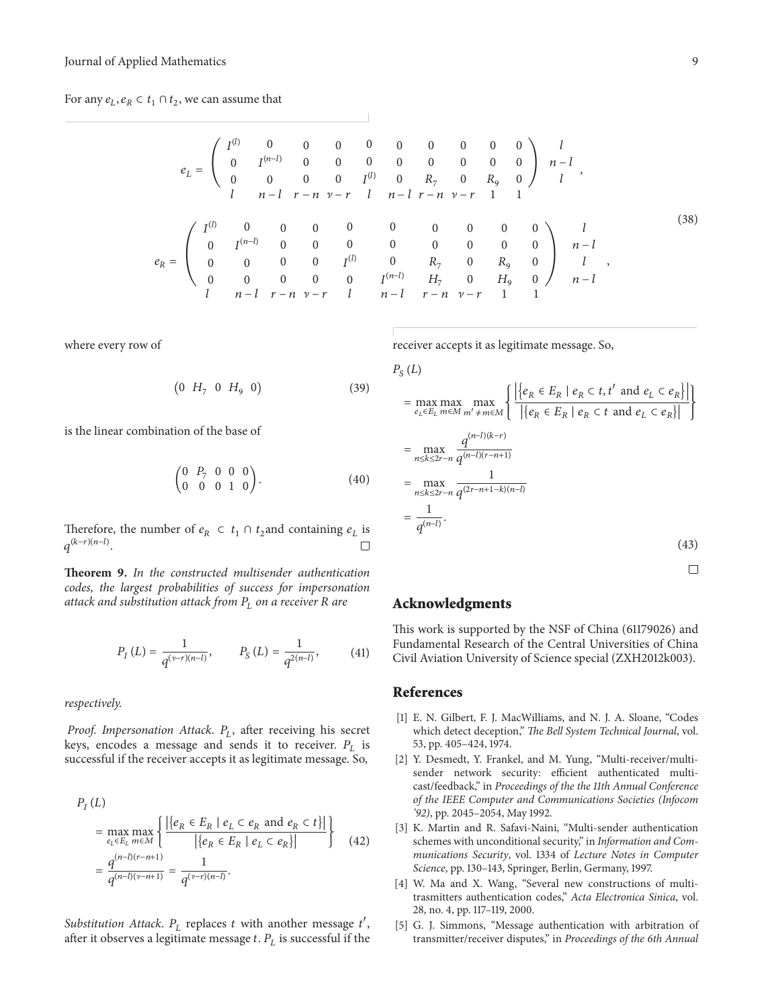For any  $e_l$ ,  $e_R \,\subset t_1 \cap t_2$ , we can assume that

$$
e_L = \begin{pmatrix} I^{(l)} & 0 & 0 & 0 & 0 & 0 & 0 & 0 & 0 & 0 \ 0 & I^{(n-l)} & 0 & 0 & 0 & 0 & 0 & 0 & 0 & 0 \ 0 & 0 & 0 & 0 & I^{(l)} & 0 & R_7 & 0 & R_9 & 0 \end{pmatrix} \begin{pmatrix} l \\ n-l \\ l \\ n-l \end{pmatrix}
$$
  
\n
$$
e_R = \begin{pmatrix} I^{(l)} & 0 & 0 & 0 & 0 & 0 & 0 & 0 & 0 & 0 & 0 \ 0 & I^{(n-l)} & 0 & 0 & 0 & 0 & 0 & 0 & 0 & 0 \ 0 & 0 & 0 & 0 & I^{(l)} & 0 & R_7 & 0 & R_9 & 0 \ 0 & 0 & 0 & 0 & 0 & 0 & I^{(n-l)} & 0 & R_7 & 0 & R_9 & 0 \ 0 & 0 & 0 & 0 & 0 & 0 & I^{(n-l)} & H_7 & 0 & H_9 & 0 \end{pmatrix} \begin{pmatrix} 1 & 0 & 0 & 0 & 0 & 0 & 0 & 0 \ 0 & 0 & 0 & 0 & 0 & 0 & 0 & 0 \ 0 & 0 & 0 & 0 & 0 & 0 & 0 & 0 & 0 \ 0 & 0 & 0 & 0 & 0 & 0 & 0 & 0 & 0 & 0 \ 0 & 0 & 0 & 0 & 0 & 0 & 0 & 0 & 0 & 0 \end{pmatrix} \begin{pmatrix} 1 & 0 & 0 & 0 & 0 & 0 & 0 & 0 & 0 \ 0 & 0 & 0 & 0 & 0 & 0 & 0 & 0 & 0 & 0 \ 0 & 0 & 0 & 0 & 0 & 0 & 0 & 0 & 0 & 0 & 0 \ 0 & 0 & 0 & 0 & 0 & 0 & 0 & 0 & 0 & 0 & 0 & 0 \end{pmatrix}
$$
 (38)

where every row of

$$
(0 H_7 0 H_9 0) \t(39)
$$

is the linear combination of the base of

$$
\begin{pmatrix} 0 & P_7 & 0 & 0 & 0 \\ 0 & 0 & 0 & 1 & 0 \end{pmatrix}.
$$
 (40)

Therefore, the number of  $e_R \text{ }\subset t_1 \cap t_2$  and containing  $e_L$  is  $q^{(k-r)(n-l)}$ П

**Theorem 9.** *In the constructed multisender authentication codes, the largest probabilities of success for impersonation attack and substitution attack from*  $P_L$  *on a receiver* R are

$$
P_{I}(L) = \frac{1}{q^{(\nu-r)(n-l)}}, \qquad P_{S}(L) = \frac{1}{q^{2(n-l)}}, \qquad (41)
$$

*respectively.*

*Proof. Impersonation Attack. P<sub>L</sub>, after receiving his secret* keys, encodes a message and sends it to receiver.  $P_L$  is successful if the receiver accepts it as legitimate message. So,

$$
P_{I}(L)
$$
\n
$$
= \max_{e_{L} \in E_{L}} \max_{m \in M} \left\{ \frac{\left| \left\{ e_{R} \in E_{R} \mid e_{L} \subset e_{R} \text{ and } e_{R} \subset t \right\} \right|}{\left| \left\{ e_{R} \in E_{R} \mid e_{L} \subset e_{R} \right\} \right|} \right\} \tag{42}
$$
\n
$$
= \frac{q^{(n-l)(r-n+1)}}{q^{(n-l)(v-n+1)}} = \frac{1}{q^{(v-r)(n-l)}}.
$$

*Substitution Attack.*  $P_L$  replaces  $t$  with another message  $t'$ , after it observes a legitimate message  $t$ .  $P_L$  is successful if the receiver accepts it as legitimate message. So,

$$
P_{S}(L)
$$
\n
$$
= \max_{e_L \in E_L} \max_{m \in M} \max_{m' \neq m \in M} \left\{ \frac{\left| \left\{ e_R \in E_R \mid e_R \subset t, t' \text{ and } e_L \subset e_R \right\} \right|}{\left| \left\{ e_R \in E_R \mid e_R \subset t \text{ and } e_L \subset e_R \right\} \right|} \right\}
$$
\n
$$
= \max_{n \leq k \leq 2r - n} \frac{q^{(n-1)(k-r)}}{q^{(n-1)(r-n+1)}}
$$
\n
$$
= \max_{n \leq k \leq 2r - n} \frac{1}{q^{(2r-n+1-k)(n-l)}}
$$
\n
$$
= \frac{1}{q^{(n-l)}}.
$$
\n(43)

# **Acknowledgments**

This work is supported by the NSF of China (61179026) and Fundamental Research of the Central Universities of China Civil Aviation University of Science special (ZXH2012k003).

### **References**

- [1] E. N. Gilbert, F. J. MacWilliams, and N. J. A. Sloane, "Codes which detect deception," *The Bell System Technical Journal*, vol. 53, pp. 405–424, 1974.
- [2] Y. Desmedt, Y. Frankel, and M. Yung, "Multi-receiver/multisender network security: efficient authenticated multicast/feedback," in *Proceedings of the the 11th Annual Conference of the IEEE Computer and Communications Societies (Infocom '92)*, pp. 2045–2054, May 1992.
- [3] K. Martin and R. Safavi-Naini, "Multi-sender authentication schemes with unconditional security," in *Information and Communications Security*, vol. 1334 of *Lecture Notes in Computer Science*, pp. 130–143, Springer, Berlin, Germany, 1997.
- [4] W. Ma and X. Wang, "Several new constructions of multitrasmitters authentication codes," *Acta Electronica Sinica*, vol. 28, no. 4, pp. 117–119, 2000.
- [5] G. J. Simmons, "Message authentication with arbitration of transmitter/receiver disputes," in *Proceedings of the 6th Annual*